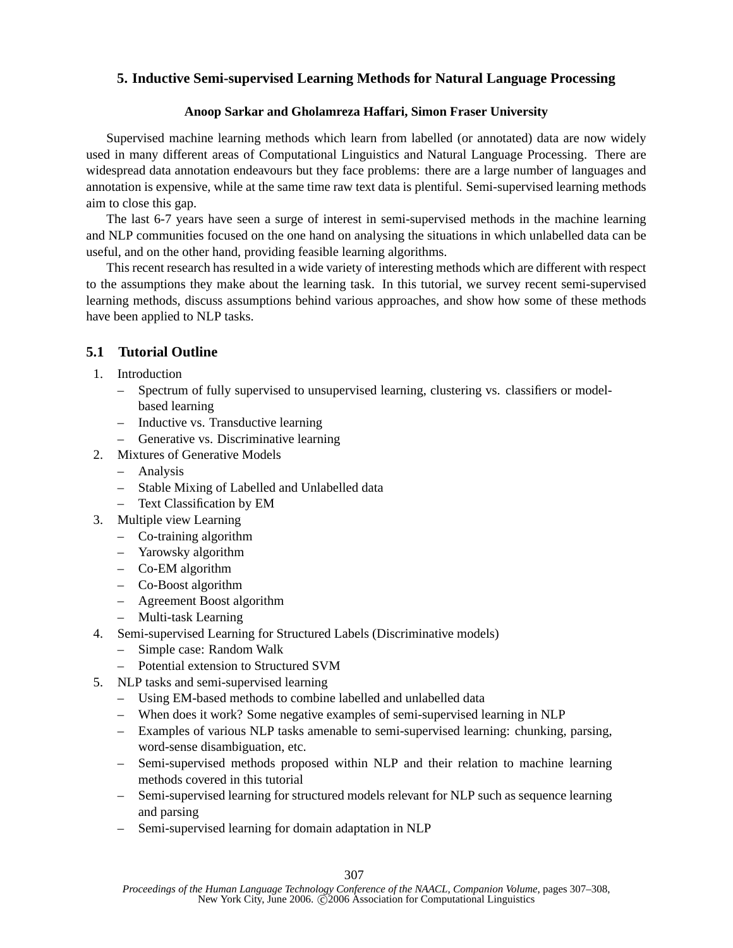## **5. Inductive Semi-supervised Learning Methods for Natural Language Processing**

## **Anoop Sarkar and Gholamreza Haffari, Simon Fraser University**

Supervised machine learning methods which learn from labelled (or annotated) data are now widely used in many different areas of Computational Linguistics and Natural Language Processing. There are widespread data annotation endeavours but they face problems: there are a large number of languages and annotation is expensive, while at the same time raw text data is plentiful. Semi-supervised learning methods aim to close this gap.

The last 6-7 years have seen a surge of interest in semi-supervised methods in the machine learning and NLP communities focused on the one hand on analysing the situations in which unlabelled data can be useful, and on the other hand, providing feasible learning algorithms.

This recent research has resulted in a wide variety of interesting methods which are different with respect to the assumptions they make about the learning task. In this tutorial, we survey recent semi-supervised learning methods, discuss assumptions behind various approaches, and show how some of these methods have been applied to NLP tasks.

## **5.1 Tutorial Outline**

- 1. Introduction
	- Spectrum of fully supervised to unsupervised learning, clustering vs. classifiers or modelbased learning
	- Inductive vs. Transductive learning
	- Generative vs. Discriminative learning
- 2. Mixtures of Generative Models
	- Analysis
	- Stable Mixing of Labelled and Unlabelled data
	- Text Classification by EM
- 3. Multiple view Learning
	- Co-training algorithm
	- Yarowsky algorithm
	- Co-EM algorithm
	- Co-Boost algorithm
	- Agreement Boost algorithm
	- Multi-task Learning
- 4. Semi-supervised Learning for Structured Labels (Discriminative models)
	- Simple case: Random Walk
	- Potential extension to Structured SVM
- 5. NLP tasks and semi-supervised learning
	- Using EM-based methods to combine labelled and unlabelled data
	- When does it work? Some negative examples of semi-supervised learning in NLP
	- Examples of various NLP tasks amenable to semi-supervised learning: chunking, parsing, word-sense disambiguation, etc.
	- Semi-supervised methods proposed within NLP and their relation to machine learning methods covered in this tutorial
	- Semi-supervised learning for structured models relevant for NLP such as sequence learning and parsing
	- Semi-supervised learning for domain adaptation in NLP